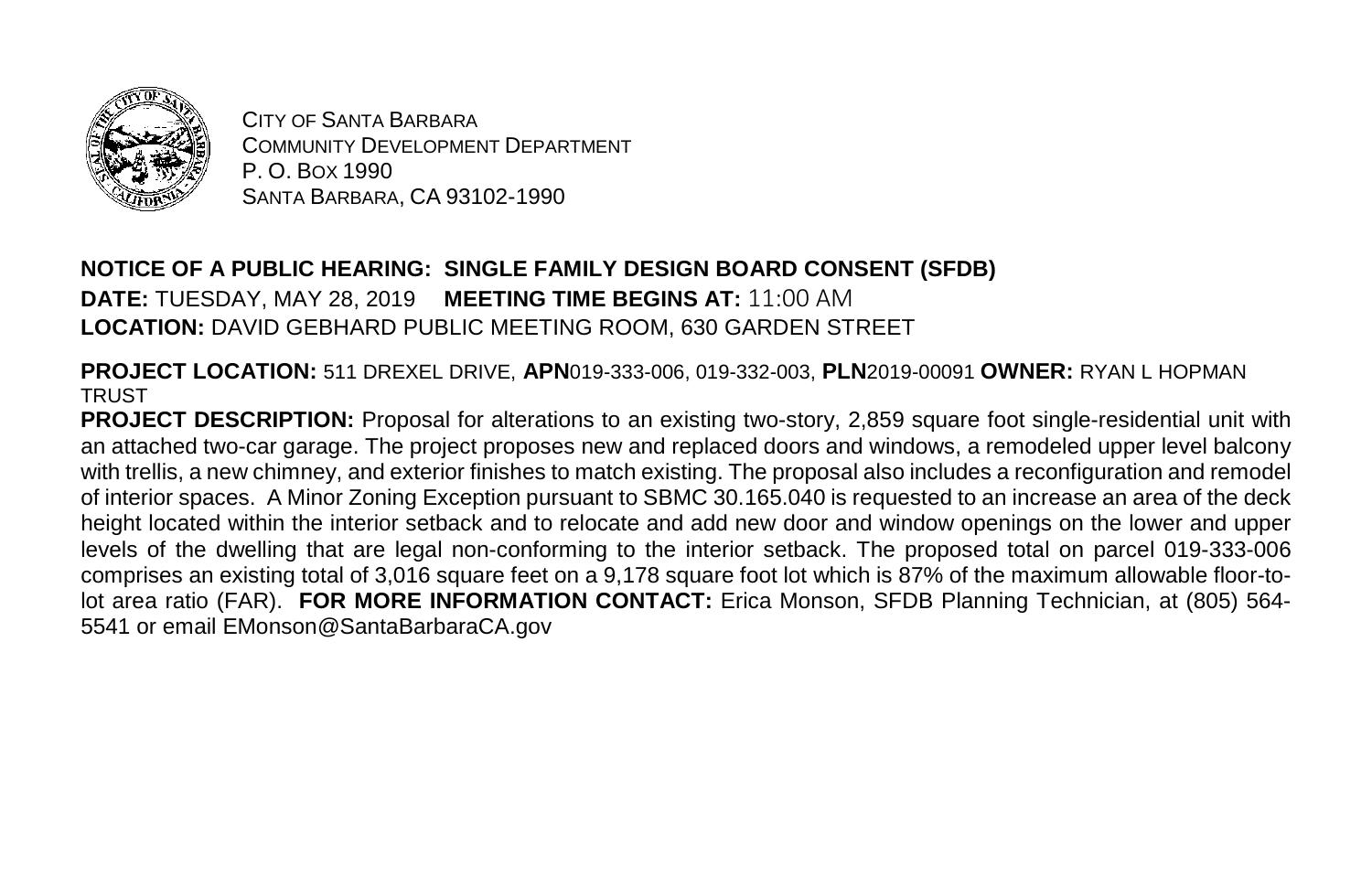

CITY OF SANTA BARBARA COMMUNITY DEVELOPMENT DEPARTMENT P. O. BOX 1990 SANTA BARBARA, CA 93102-1990

## **NOTICE OF A PUBLIC HEARING: SINGLE FAMILY DESIGN BOARD CONSENT (SFDB) DATE:** TUESDAY, MAY 28, 2019 **MEETING TIME BEGINS AT:** 11:00 AM **LOCATION:** DAVID GEBHARD PUBLIC MEETING ROOM, 630 GARDEN STREET

**PROJECT LOCATION:** 511 DREXEL DRIVE, **APN**019-333-006, 019-332-003, **PLN**2019-00091 **OWNER:** RYAN L HOPMAN **TRUST** 

**PROJECT DESCRIPTION:** Proposal for alterations to an existing two-story, 2,859 square foot single-residential unit with an attached two-car garage. The project proposes new and replaced doors and windows, a remodeled upper level balcony with trellis, a new chimney, and exterior finishes to match existing. The proposal also includes a reconfiguration and remodel of interior spaces. A Minor Zoning Exception pursuant to SBMC 30.165.040 is requested to an increase an area of the deck height located within the interior setback and to relocate and add new door and window openings on the lower and upper levels of the dwelling that are legal non-conforming to the interior setback. The proposed total on parcel 019-333-006 comprises an existing total of 3,016 square feet on a 9,178 square foot lot which is 87% of the maximum allowable floor-tolot area ratio (FAR). **FOR MORE INFORMATION CONTACT:** Erica Monson, SFDB Planning Technician, at (805) 564- 5541 or email EMonson@SantaBarbaraCA.gov